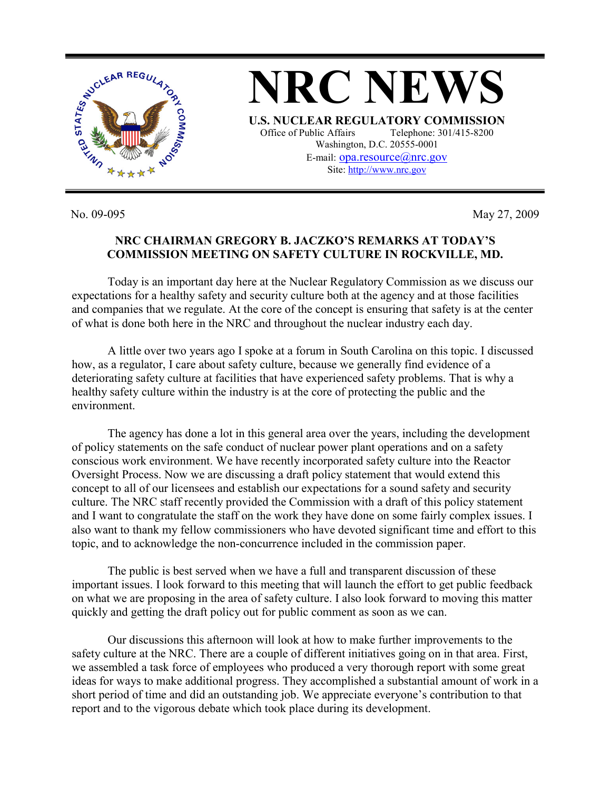

No. 09-095 May 27, 2009

## **NRC CHAIRMAN GREGORY B. JACZKO'S REMARKS AT TODAY'S COMMISSION MEETING ON SAFETY CULTURE IN ROCKVILLE, MD.**

 Today is an important day here at the Nuclear Regulatory Commission as we discuss our expectations for a healthy safety and security culture both at the agency and at those facilities and companies that we regulate. At the core of the concept is ensuring that safety is at the center of what is done both here in the NRC and throughout the nuclear industry each day.

 A little over two years ago I spoke at a forum in South Carolina on this topic. I discussed how, as a regulator, I care about safety culture, because we generally find evidence of a deteriorating safety culture at facilities that have experienced safety problems. That is why a healthy safety culture within the industry is at the core of protecting the public and the environment.

 The agency has done a lot in this general area over the years, including the development of policy statements on the safe conduct of nuclear power plant operations and on a safety conscious work environment. We have recently incorporated safety culture into the Reactor Oversight Process. Now we are discussing a draft policy statement that would extend this concept to all of our licensees and establish our expectations for a sound safety and security culture. The NRC staff recently provided the Commission with a draft of this policy statement and I want to congratulate the staff on the work they have done on some fairly complex issues. I also want to thank my fellow commissioners who have devoted significant time and effort to this topic, and to acknowledge the non-concurrence included in the commission paper.

 The public is best served when we have a full and transparent discussion of these important issues. I look forward to this meeting that will launch the effort to get public feedback on what we are proposing in the area of safety culture. I also look forward to moving this matter quickly and getting the draft policy out for public comment as soon as we can.

 Our discussions this afternoon will look at how to make further improvements to the safety culture at the NRC. There are a couple of different initiatives going on in that area. First, we assembled a task force of employees who produced a very thorough report with some great ideas for ways to make additional progress. They accomplished a substantial amount of work in a short period of time and did an outstanding job. We appreciate everyone's contribution to that report and to the vigorous debate which took place during its development.